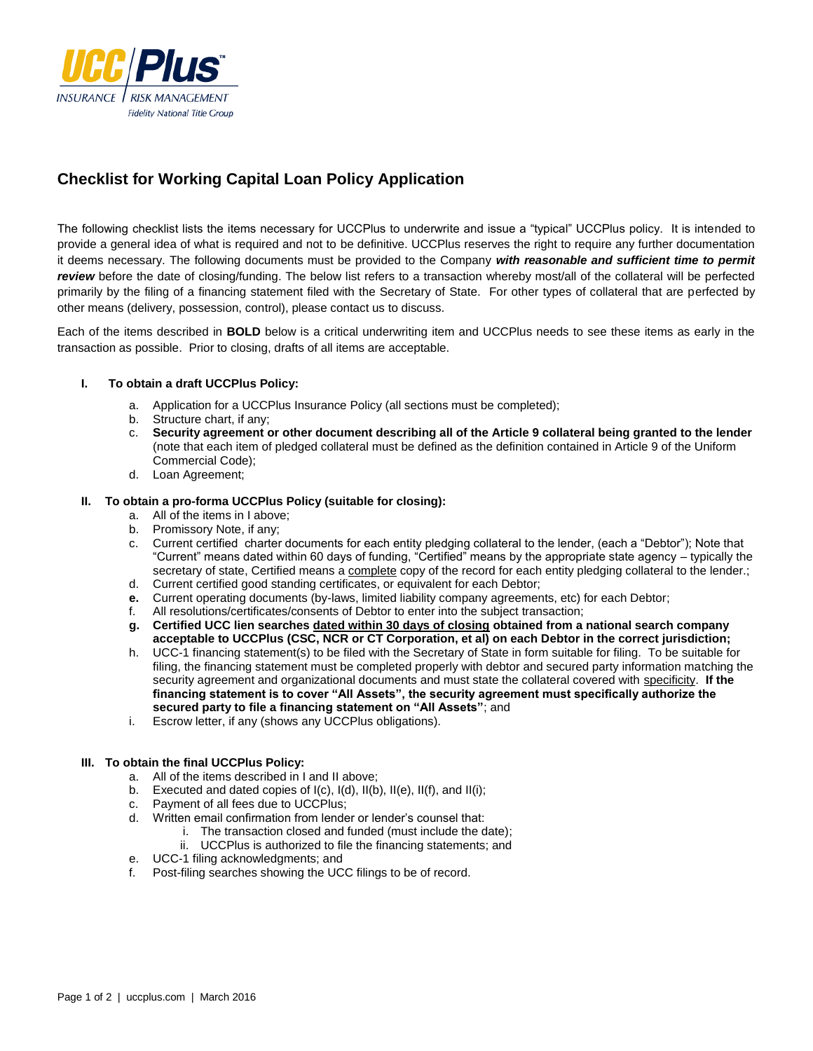

# **Checklist for Working Capital Loan Policy Application**

The following checklist lists the items necessary for UCCPlus to underwrite and issue a "typical" UCCPlus policy. It is intended to provide a general idea of what is required and not to be definitive. UCCPlus reserves the right to require any further documentation it deems necessary. The following documents must be provided to the Company *with reasonable and sufficient time to permit review* before the date of closing/funding. The below list refers to a transaction whereby most/all of the collateral will be perfected primarily by the filing of a financing statement filed with the Secretary of State. For other types of collateral that are perfected by other means (delivery, possession, control), please contact us to discuss.

Each of the items described in **BOLD** below is a critical underwriting item and UCCPlus needs to see these items as early in the transaction as possible. Prior to closing, drafts of all items are acceptable.

### **I. To obtain a draft UCCPlus Policy:**

- a. Application for a UCCPlus Insurance Policy (all sections must be completed);
- Structure chart, if any;
- c. **Security agreement or other document describing all of the Article 9 collateral being granted to the lender** (note that each item of pledged collateral must be defined as the definition contained in Article 9 of the Uniform Commercial Code);
- d. Loan Agreement;

#### **II. To obtain a pro-forma UCCPlus Policy (suitable for closing):**

- a. All of the items in I above;
- b. Promissory Note, if any;
- c. Current certified charter documents for each entity pledging collateral to the lender, (each a "Debtor"); Note that "Current" means dated within 60 days of funding, "Certified" means by the appropriate state agency – typically the secretary of state, Certified means a complete copy of the record for each entity pledging collateral to the lender.;
- d. Current certified good standing certificates, or equivalent for each Debtor;
- **e.** Current operating documents (by-laws, limited liability company agreements, etc) for each Debtor;
- f. All resolutions/certificates/consents of Debtor to enter into the subject transaction;
- **g. Certified UCC lien searches dated within 30 days of closing obtained from a national search company acceptable to UCCPlus (CSC, NCR or CT Corporation, et al) on each Debtor in the correct jurisdiction;**
- h. UCC-1 financing statement(s) to be filed with the Secretary of State in form suitable for filing. To be suitable for filing, the financing statement must be completed properly with debtor and secured party information matching the security agreement and organizational documents and must state the collateral covered with specificity. **If the financing statement is to cover "All Assets", the security agreement must specifically authorize the secured party to file a financing statement on "All Assets"**; and
- i. Escrow letter, if any (shows any UCCPlus obligations).

### **III. To obtain the final UCCPlus Policy:**

- a. All of the items described in I and II above;
- b. Executed and dated copies of I(c), I(d), II(b), II(e), II(f), and II(i);
- c. Payment of all fees due to UCCPlus;
- d. Written email confirmation from lender or lender's counsel that:
	- i. The transaction closed and funded (must include the date);
	- ii. UCCPlus is authorized to file the financing statements; and
- e. UCC-1 filing acknowledgments; and
- f. Post-filing searches showing the UCC filings to be of record.